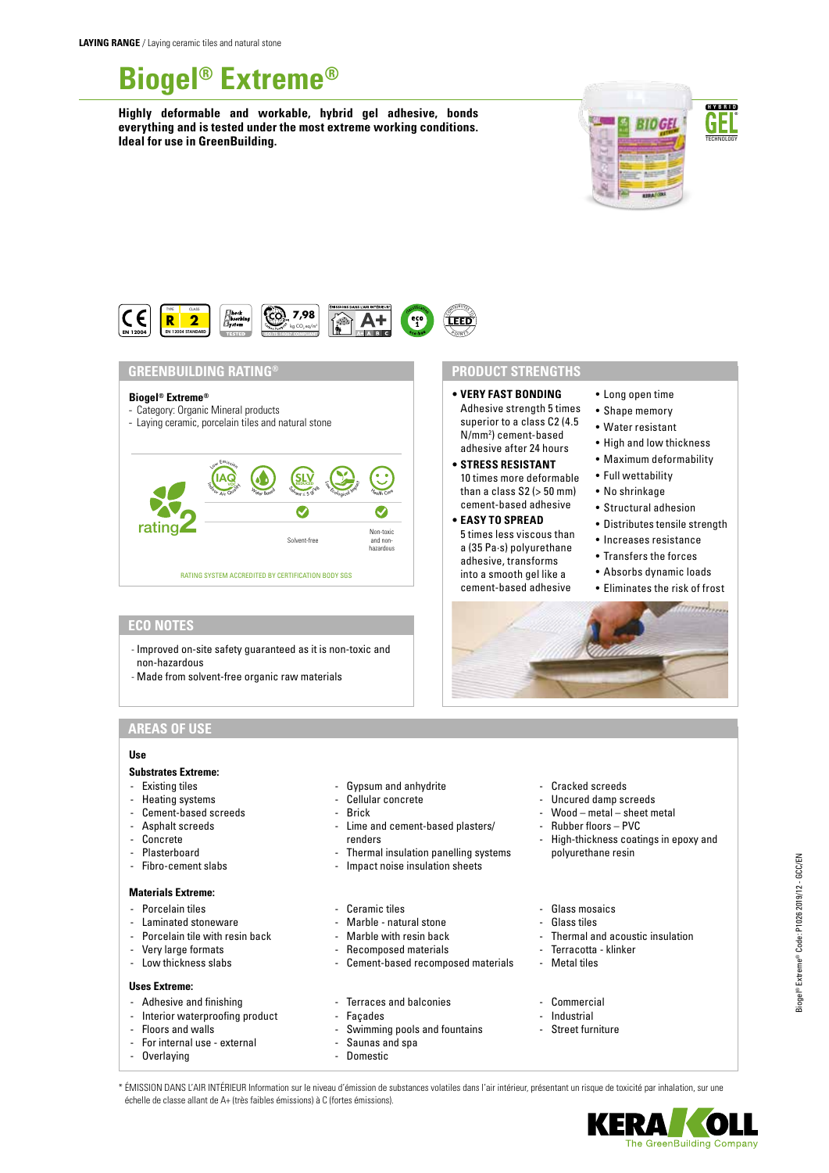# **Biogel® Extreme®**

**Highly deformable and workable, hybrid gel adhesive, bonds everything and is tested under the most extreme working conditions. Ideal for use in GreenBuilding.**



• Long open time • Shape memory • Water resistant • High and low thickness • Maximum deformability • Full wettability • No shrinkage • Structural adhesion • Distributes tensile strength • Increases resistance • Transfers the forces • Absorbs dynamic loads • Eliminates the risk of frost



#### **GREENBUILDING RATING®**

#### **Biogel® Extreme®**

- Category: Organic Mineral products
- Laying ceramic, porcelain tiles and natural stone



### **ECO NOTES**

- Improved on-site safety guaranteed as it is non-toxic and non-hazardous
- Made from solvent-free organic raw materials

## **AREAS OF USE**

## **Use**

#### **Substrates Extreme:**

- Existing tiles
- Heating systems
- Cement-based screeds
- Asphalt screeds
- Concrete
- **Plasterboard**
- Fibro-cement slabs

#### **Materials Extreme:**

- Porcelain tiles
- Laminated stoneware
- Porcelain tile with resin back
- Very large formats
- Low thickness slabs

## **Uses Extreme:**

- Adhesive and finishing
- Interior waterproofing product
- Floors and walls
- For internal use external
- Overlaying
- Gypsum and anhydrite
- Cellular concrete
- **Brick**
- Lime and cement-based plasters/ renders
- Thermal insulation panelling systems
- Impact noise insulation sheets
- Ceramic tiles
- Marble natural stone
- Marble with resin back
- Recomposed materials
- Cement-based recomposed materials
- Terraces and balconies
- **Facades**
- Swimming pools and fountains
- Saunas and spa
- Domestic
- Cracked screeds
- Uncured damp screeds

**• VERY FAST BONDING** Adhesive strength 5 times superior to a class C2 (4.5 N/mm2 ) cement-based adhesive after 24 hours **• STRESS RESISTANT** 10 times more deformable than a class  $S2$  ( $> 50$  mm) cement-based adhesive **• EASY TO SPREAD** 5 times less viscous than a (35 Pa·s) polyurethane adhesive, transforms into a smooth gel like a cement-based adhesive

**PRODUCT STRENGTHS**

- Wood metal sheet metal
- Rubber floors PVC
- High-thickness coatings in epoxy and polyurethane resin
- Glass mosaics
- Glass tiles
- Thermal and acoustic insulation
- Terracotta klinker
- Metal tiles
- Commercial
- Industrial
- Street furniture

\* ÉMISSION DANS L'AIR INTÉRIEUR Information sur le niveau d'émission de substances volatiles dans l'air intérieur, présentant un risque de toxicité par inhalation, sur une échelle de classe allant de A+ (très faibles émissions) à C (fortes émissions).

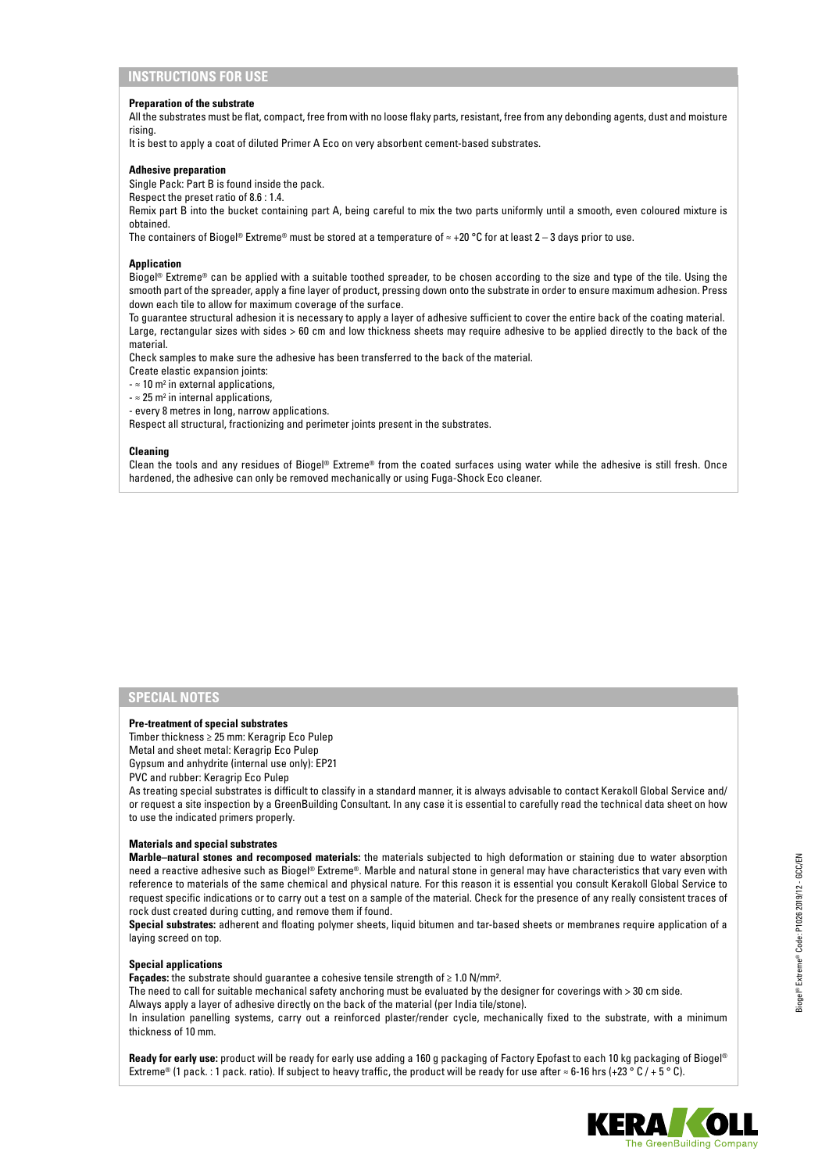#### **Preparation of the substrate**

All the substrates must be flat, compact, free from with no loose flaky parts, resistant, free from any debonding agents, dust and moisture rising.

It is best to apply a coat of diluted Primer A Eco on very absorbent cement-based substrates.

#### **Adhesive preparation**

Single Pack: Part B is found inside the pack.

Respect the preset ratio of 8.6 : 1.4.

Remix part B into the bucket containing part A, being careful to mix the two parts uniformly until a smooth, even coloured mixture is obtained.

The containers of Biogel® Extreme® must be stored at a temperature of  $\approx$  +20 °C for at least 2 – 3 days prior to use.

#### **Application**

Biogel® Extreme® can be applied with a suitable toothed spreader, to be chosen according to the size and type of the tile. Using the smooth part of the spreader, apply a fine layer of product, pressing down onto the substrate in order to ensure maximum adhesion. Press down each tile to allow for maximum coverage of the surface.

To guarantee structural adhesion it is necessary to apply a layer of adhesive sufficient to cover the entire back of the coating material. Large, rectangular sizes with sides > 60 cm and low thickness sheets may require adhesive to be applied directly to the back of the material.

Check samples to make sure the adhesive has been transferred to the back of the material.

Create elastic expansion joints:

 $\approx$  10 m<sup>2</sup> in external applications,

 $\approx$  25 m<sup>2</sup> in internal applications,

- every 8 metres in long, narrow applications.

Respect all structural, fractionizing and perimeter joints present in the substrates.

#### **Cleaning**

Clean the tools and any residues of Biogel® Extreme® from the coated surfaces using water while the adhesive is still fresh. Once hardened, the adhesive can only be removed mechanically or using Fuga-Shock Eco cleaner.

#### **SPECIAL NOTES**

#### **Pre-treatment of special substrates**

Timber thickness ≥ 25 mm: Keragrip Eco Pulep

Metal and sheet metal: Keragrip Eco Pulep

Gypsum and anhydrite (internal use only): EP21

PVC and rubber: Keragrip Eco Pulep

As treating special substrates is difficult to classify in a standard manner, it is always advisable to contact Kerakoll Global Service and/ or request a site inspection by a GreenBuilding Consultant. In any case it is essential to carefully read the technical data sheet on how to use the indicated primers properly.

#### **Materials and special substrates**

**Marble–natural stones and recomposed materials:** the materials subjected to high deformation or staining due to water absorption need a reactive adhesive such as Biogel® Extreme®. Marble and natural stone in general may have characteristics that vary even with reference to materials of the same chemical and physical nature. For this reason it is essential you consult Kerakoll Global Service to request specific indications or to carry out a test on a sample of the material. Check for the presence of any really consistent traces of rock dust created during cutting, and remove them if found.

**Special substrates:** adherent and floating polymer sheets, liquid bitumen and tar-based sheets or membranes require application of a laying screed on top.

#### **Special applications**

**Façades:** the substrate should guarantee a cohesive tensile strength of ≥ 1.0 N/mm².

The need to call for suitable mechanical safety anchoring must be evaluated by the designer for coverings with > 30 cm side. Always apply a layer of adhesive directly on the back of the material (per India tile/stone).

In insulation panelling systems, carry out a reinforced plaster/render cycle, mechanically fixed to the substrate, with a minimum thickness of 10 mm.

**Ready for early use:** product will be ready for early use adding a 160 g packaging of Factory Epofast to each 10 kg packaging of Biogel® Extreme® (1 pack. : 1 pack. ratio). If subject to heavy traffic, the product will be ready for use after ≈ 6-16 hrs (+23 ° C / + 5 ° C).